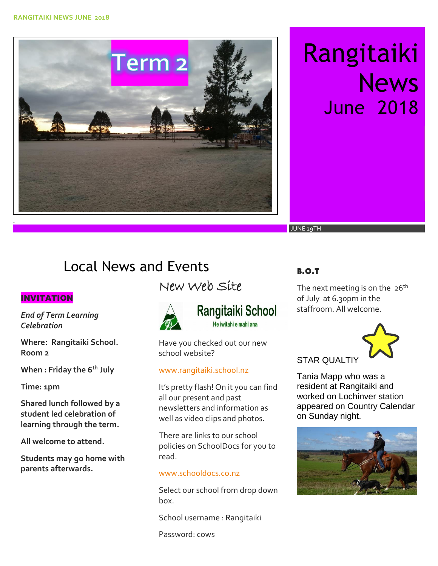Term 2

# Rangitaiki **News** June 2018

JUNE 29TH

# Local News and Events

### INVITATION

*End of Term Learning Celebration*

**Where: Rangitaiki School. Room 2**

**When : Friday the 6th July**

**Time: 1pm** 

**Shared lunch followed by a student led celebration of learning through the term.** 

**All welcome to attend.** 

**Students may go home with parents afterwards.** 

# New Web Site



## **Rangitaiki School** He iwitahi e mahi ana

Have you checked out our new school website?

#### [www.rangitaiki.school.nz](http://www.rangitaiki.school.nz/)

It's pretty flash! On it you can find all our present and past newsletters and information as well as video clips and photos.

There are links to our school policies on SchoolDocs for you to read.

#### [www.schooldocs.co.nz](http://www.schooldocs.co.nz/)

Select our school from drop down box.

School username : Rangitaiki

Password: cows

### B.O.T

The next meeting is on the  $26<sup>th</sup>$ of July at 6.30pm in the staffroom. All welcome.



STAR QUALTIY

Tania Mapp who was a resident at Rangitaiki and worked on Lochinver station appeared on Country Calendar on Sunday night.

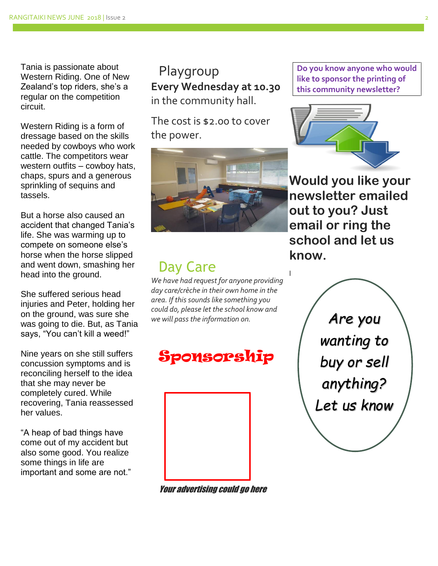Tania is passionate about Western Riding. One of New Zealand's top riders, she's a regular on the competition circuit.

Western Riding is a form of dressage based on the skills needed by cowboys who work cattle. The competitors wear western outfits – cowboy hats, chaps, spurs and a generous sprinkling of sequins and tassels.

But a horse also caused an accident that changed Tania's life. She was warming up to compete on someone else's horse when the horse slipped and went down, smashing her head into the ground.

She suffered serious head injuries and Peter, holding her on the ground, was sure she was going to die. But, as Tania says, "You can't kill a weed!"

Nine years on she still suffers concussion symptoms and is reconciling herself to the idea that she may never be completely cured. While recovering, Tania reassessed her values.

"A heap of bad things have come out of my accident but also some good. You realize some things in life are important and some are not."

Playgroup **Every Wednesday at 10.30** in the community hall.

The cost is \$2.00 to cover the power.



# Day Care

*We have had request for anyone providing day care/crèche in their own home in the area. If this sounds like something you could do, please let the school know and we will pass the information on.* 





Your advertising could go here

**Do you know anyone who would like to sponsor the printing of this community newsletter?** 



**Would you like your newsletter emailed out to you? Just email or ring the school and let us know.** 

I

*Are you wanting to buy or sell anything? Let us know*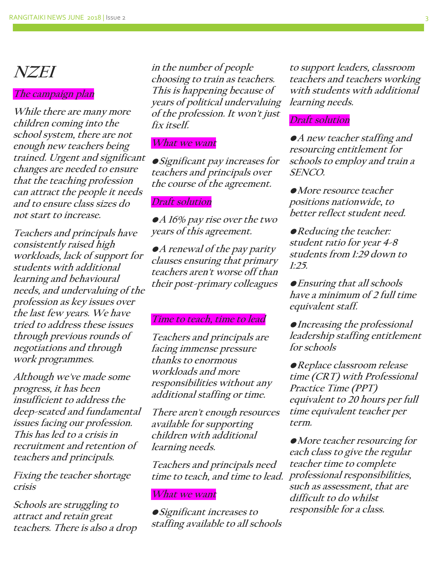# **NZEI**

#### **The campaign plan**

**While there are many more children coming into the school system, there are not enough new teachers being trained. Urgent and significant changes are needed to ensure that the teaching profession can attract the people it needs and to ensure class sizes do not start to increase.** 

**Teachers and principals have consistently raised high workloads, lack of support for students with additional learning and behavioural needs, and undervaluing of the profession as key issues over the last few years. We have tried to address these issues through previous rounds of negotiations and through work programmes.**

**Although we've made some progress, it has been insufficient to address the deep-seated and fundamental issues facing our profession. This has led to a crisis in recruitment and retention of teachers and principals.**

**Fixing the teacher shortage crisis**

**Schools are struggling to attract and retain great teachers. There is also a drop** 

**in the number of people choosing to train as teachers. This is happening because of years of political undervaluing of the profession. It won't just fix itself.**

#### **What we want**

**•Significant pay increases for teachers and principals over the course of the agreement.**

#### **Draft solution**

**•A 16% pay rise over the two years of this agreement.**

**•A renewal of the pay parity clauses ensuring that primary teachers aren't worse off than their post-primary colleagues**

#### **Time to teach, time to lead**

**Teachers and principals are facing immense pressure thanks to enormous workloads and more responsibilities without any additional staffing or time.**

**There aren't enough resources available for supporting children with additional learning needs.**

**Teachers and principals need time to teach, and time to lead.**

#### **What we want**

**•Significant increases to staffing available to all schools** 

**to support leaders, classroom teachers and teachers working with students with additional learning needs.**

#### **Draft solution**

**•A new teacher staffing and resourcing entitlement for schools to employ and train a SENCO.**

**•More resource teacher positions nationwide, to better reflect student need.**

**•Reducing the teacher: student ratio for year 4-8 students from 1:29 down to 1:25.**

**•Ensuring that all schools have a minimum of 2 full time equivalent staff.**

**•Increasing the professional leadership staffing entitlement for schools**

**•Replace classroom release time (CRT) with Professional Practice Time (PPT) equivalent to 20 hours per full time equivalent teacher per term.**

**•More teacher resourcing for each class to give the regular teacher time to complete professional responsibilities, such as assessment, that are difficult to do whilst responsible for a class.**